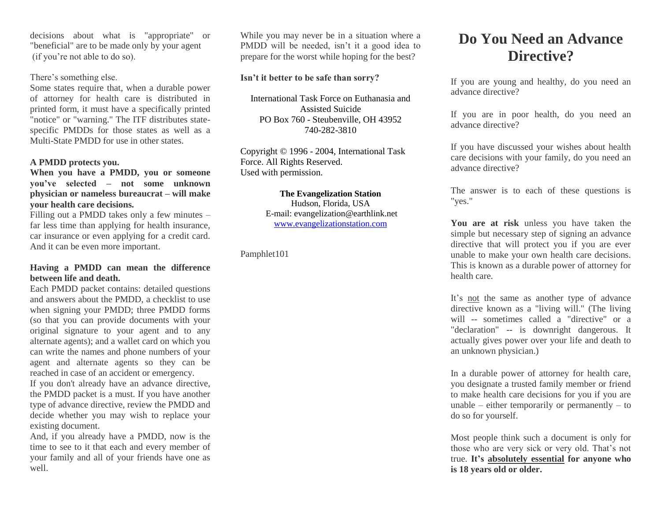decisions about what is "appropriate" or "beneficial" are to be made only by your agent (if you're not able to do so).

## There's something else.

Some states require that, when a durable power of attorney for health care is distributed in printed form, it must have a specifically printed "notice" or "warning." The ITF distributes statespecific PMDDs for those states as well as a Multi-State PMDD for use in other states.

## **A PMDD protects you.**

**When you have a PMDD, you or someone you've selected – not some unknown physician or nameless bureaucrat – will make your health care decisions.**

Filling out a PMDD takes only a few minutes – far less time than applying for health insurance, car insurance or even applying for a credit card. And it can be even more important.

#### **Having a PMDD can mean the difference between life and death.**

Each PMDD packet contains: detailed questions and answers about the PMDD, a checklist to use when signing your PMDD; three PMDD forms (so that you can provide documents with your original signature to your agent and to any alternate agents); and a wallet card on which you can write the names and phone numbers of your agent and alternate agents so they can be reached in case of an accident or emergency.

If you don't already have an advance directive, the PMDD packet is a must. If you have another type of advance directive, review the PMDD and decide whether you may wish to replace your existing document.

And, if you already have a PMDD, now is the time to see to it that each and every member of your family and all of your friends have one as well.

While you may never be in a situation where a PMDD will be needed, isn't it a good idea to prepare for the worst while hoping for the best?

#### **Isn't it better to be safe than sorry?**

International Task Force on Euthanasia and Assisted Suicide PO Box 760 - Steubenville, OH 43952 740-282-3810

Copyright © 1996 - 2004, International Task Force. All Rights Reserved. Used with permission.

## **The Evangelization Station**

Hudson, Florida, USA E-mail: evangelization@earthlink.net [www.evangelizationstation.com](http://www.pjpiisoe.org/)

Pamphlet101

# **Do You Need an Advance Directive?**

If you are young and healthy, do you need an advance directive?

If you are in poor health, do you need an advance directive?

If you have discussed your wishes about health care decisions with your family, do you need an advance directive?

The answer is to each of these questions is "yes."

**You are at risk** unless you have taken the simple but necessary step of signing an advance directive that will protect you if you are ever unable to make your own health care decisions. This is known as a durable power of attorney for health care.

It's not the same as another type of advance directive known as a "living will." (The living will -- sometimes called a "directive" or a "declaration" -- is downright dangerous. It actually gives power over your life and death to an unknown physician.)

In a durable power of attorney for health care, you designate a trusted family member or friend to make health care decisions for you if you are unable – either temporarily or permanently – to do so for yourself.

Most people think such a document is only for those who are very sick or very old. That's not true. **It's absolutely essential for anyone who is 18 years old or older.**